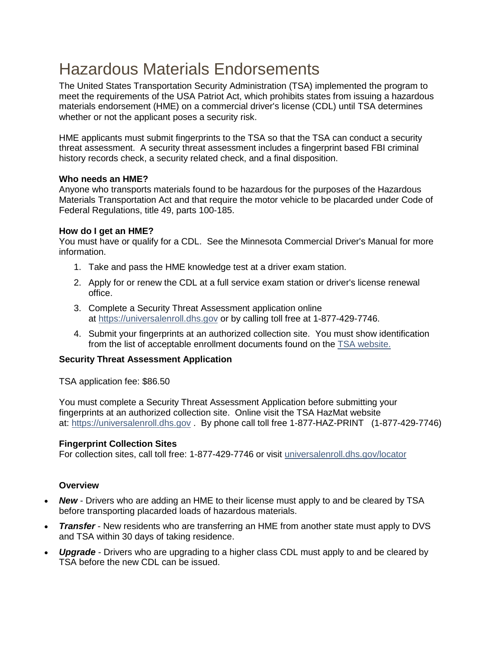# Hazardous Materials Endorsements

The United States Transportation Security Administration (TSA) implemented the program to meet the requirements of the USA Patriot Act, which prohibits states from issuing a hazardous materials endorsement (HME) on a commercial driver's license (CDL) until TSA determines whether or not the applicant poses a security risk.

HME applicants must submit fingerprints to the TSA so that the TSA can conduct a security threat assessment. A security threat assessment includes a fingerprint based FBI criminal history records check, a security related check, and a final disposition.

## **Who needs an HME?**

Anyone who transports materials found to be hazardous for the purposes of the Hazardous Materials Transportation Act and that require the motor vehicle to be placarded under Code of Federal Regulations, title 49, parts 100-185.

## **How do I get an HME?**

You must have or qualify for a CDL. See the Minnesota Commercial Driver's Manual for more information.

- 1. Take and pass the HME knowledge test at a driver exam station.
- 2. Apply for or renew the CDL at a full service exam station or driver's license renewal office.
- 3. Complete a Security Threat Assessment application online at [https://universalenroll.dhs.gov](https://universalenroll.dhs.gov/) or by calling toll free at 1-877-429-7746.
- 4. Submit your fingerprints at an authorized collection site. You must show identification from the list of acceptable enrollment documents found on the [TSA website.](https://www.tsa.gov/sites/default/files/twic-hazmat_factsheet_072915.pdf)

# **Security Threat Assessment Application**

TSA application fee: \$86.50

You must complete a Security Threat Assessment Application before submitting your fingerprints at an authorized collection site. Online visit the TSA HazMat website at: [https://universalenroll.dhs.gov](https://universalenroll.dhs.gov/) . By phone call toll free 1-877-HAZ-PRINT (1-877-429-7746)

### **Fingerprint Collection Sites**

For collection sites, call toll free: 1-877-429-7746 or visit [universalenroll.dhs.gov/locator](https://universalenroll.dhs.gov/locator)

### **Overview**

- *New* Drivers who are adding an HME to their license must apply to and be cleared by TSA before transporting placarded loads of hazardous materials.
- *Transfer* New residents who are transferring an HME from another state must apply to DVS and TSA within 30 days of taking residence.
- *Upgrade* Drivers who are upgrading to a higher class CDL must apply to and be cleared by TSA before the new CDL can be issued.